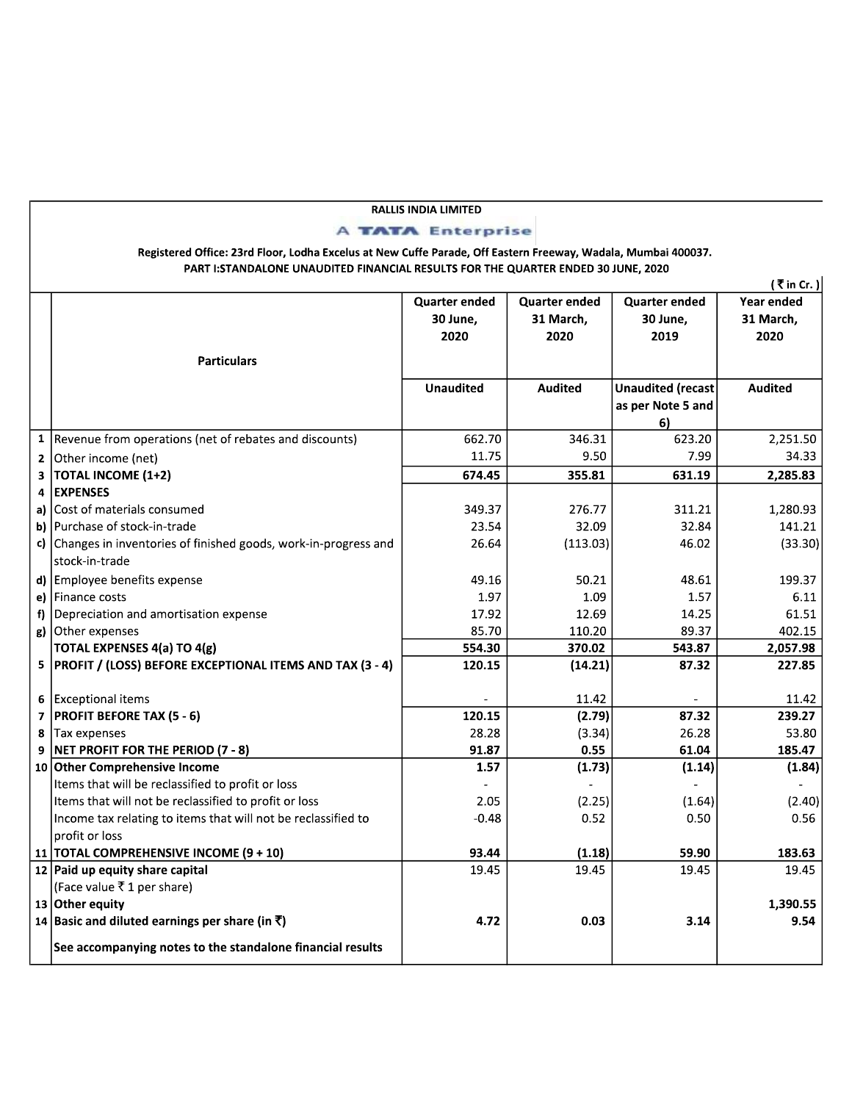## **RALLIS INDIA LIMITED**

## **A TATA** Enterprise

## Registered Office: 23rd Floor, Lodha Excelus at New Cuffe Parade, Off Eastern Freeway, Wadala, Mumbai 400037. PART I:STANDALONE UNAUDITED FINANCIAL RESULTS FOR THE QUARTER ENDED 30 JUNE, 2020

| (₹in Cr.) |                                                                   |                      |                      |                          |                |
|-----------|-------------------------------------------------------------------|----------------------|----------------------|--------------------------|----------------|
|           |                                                                   | <b>Quarter ended</b> | <b>Quarter ended</b> | <b>Quarter ended</b>     | Year ended     |
|           |                                                                   | 30 June,             | 31 March,            | 30 June,                 | 31 March,      |
|           |                                                                   | 2020                 | 2020                 | 2019                     | 2020           |
|           | <b>Particulars</b>                                                |                      |                      |                          |                |
|           |                                                                   |                      |                      |                          |                |
|           |                                                                   | <b>Unaudited</b>     | Audited              | <b>Unaudited (recast</b> | <b>Audited</b> |
|           |                                                                   |                      |                      | as per Note 5 and        |                |
|           |                                                                   |                      |                      | 6)                       |                |
|           | 1   Revenue from operations (net of rebates and discounts)        | 662.70               | 346.31               | 623.20                   | 2,251.50       |
|           | 2 Other income (net)                                              | 11.75                | 9.50                 | 7.99                     | 34.33          |
| 3         | <b>TOTAL INCOME (1+2)</b>                                         | 674.45               | 355.81               | 631.19                   | 2,285.83       |
| 4         | <b>EXPENSES</b>                                                   |                      |                      |                          |                |
|           | a) Cost of materials consumed                                     | 349.37               | 276.77               | 311.21                   | 1,280.93       |
|           | b) Purchase of stock-in-trade                                     | 23.54                | 32.09                | 32.84                    | 141.21         |
|           | c) Changes in inventories of finished goods, work-in-progress and | 26.64                | (113.03)             | 46.02                    | (33.30)        |
|           | stock-in-trade                                                    |                      |                      |                          |                |
|           | d) Employee benefits expense                                      | 49.16                | 50.21                | 48.61                    | 199.37         |
|           | e) Finance costs                                                  | 1.97                 | 1.09                 | 1.57                     | 6.11           |
|           | $f$ ) Depreciation and amortisation expense                       | 17.92                | 12.69                | 14.25                    | 61.51          |
|           | g) Other expenses                                                 | 85.70                | 110.20               | 89.37                    | 402.15         |
|           | <b>TOTAL EXPENSES 4(a) TO 4(g)</b>                                | 554.30               | 370.02               | 543.87                   | 2,057.98       |
|           | 5   PROFIT / (LOSS) BEFORE EXCEPTIONAL ITEMS AND TAX (3 - 4)      | 120.15               | (14.21)              | 87.32                    | 227.85         |
|           |                                                                   |                      |                      |                          |                |
|           | 6 Exceptional items                                               |                      | 11.42                |                          | 11.42          |
|           | 7   PROFIT BEFORE TAX (5 - 6)                                     | 120.15               | (2.79)               | 87.32                    | 239.27         |
|           | 8 Tax expenses                                                    | 28.28                | (3.34)               | 26.28                    | 53.80          |
| 9         | NET PROFIT FOR THE PERIOD (7 - 8)                                 | 91.87                | 0.55                 | 61.04                    | 185.47         |
|           | 10 Other Comprehensive Income                                     | 1.57                 | (1.73)               | (1.14)                   | (1.84)         |
|           | Items that will be reclassified to profit or loss                 |                      |                      |                          |                |
|           | Items that will not be reclassified to profit or loss             | 2.05                 | (2.25)               | (1.64)                   | (2.40)         |
|           | Income tax relating to items that will not be reclassified to     | $-0.48$              | 0.52                 | 0.50                     | 0.56           |
|           | profit or loss                                                    |                      |                      |                          |                |
|           | 11   TOTAL COMPREHENSIVE INCOME (9 + 10)                          | 93.44                | (1.18)               | 59.90                    | 183.63         |
|           | 12 Paid up equity share capital                                   | 19.45                | 19.45                | 19.45                    | 19.45          |
|           | (Face value ₹1 per share)                                         |                      |                      |                          |                |
|           | 13 Other equity                                                   |                      |                      |                          | 1,390.55       |
|           | 14 Basic and diluted earnings per share (in ₹)                    | 4.72                 | 0.03                 | 3.14                     | 9.54           |
|           | See accompanying notes to the standalone financial results        |                      |                      |                          |                |